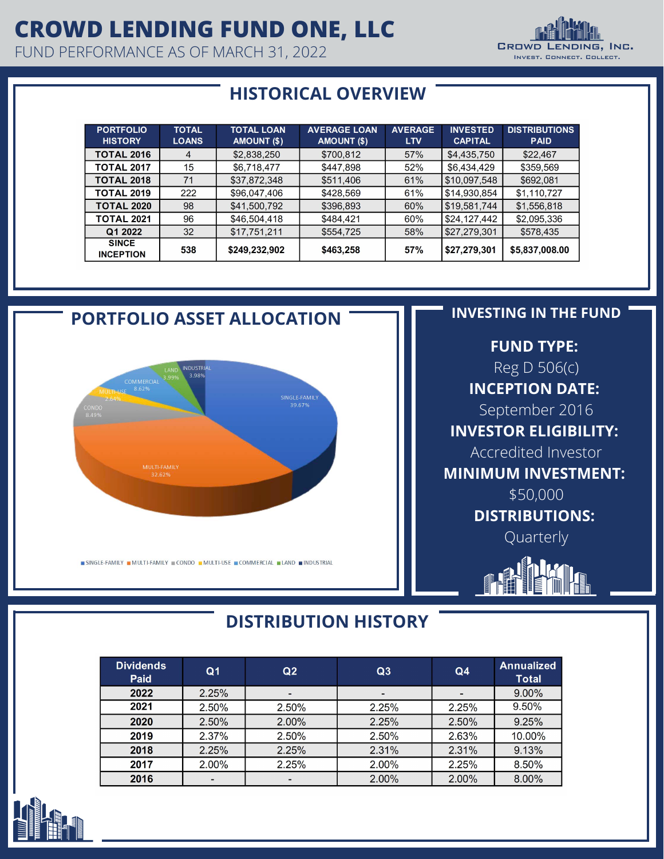## **CROWD LENDING FUND ONE, LLC**

FUND PERFORMANCE AS OF MARCH 31, 2022



### **HISTORICAL OVERVIEW**

| <b>PORTFOLIO</b><br><b>HISTORY</b> | <b>TOTAL</b><br><b>LOANS</b> | <b>TOTAL LOAN</b><br><b>AMOUNT (\$)</b> | <b>AVERAGE LOAN</b><br>AMOUNT (\$) | <b>AVERAGE</b><br><b>LTV</b> | <b>INVESTED</b><br><b>CAPITAL</b> | <b>DISTRIBUTIONS</b><br><b>PAID</b> |
|------------------------------------|------------------------------|-----------------------------------------|------------------------------------|------------------------------|-----------------------------------|-------------------------------------|
| <b>TOTAL 2016</b>                  | 4                            | \$2,838,250                             | \$700,812                          | 57%                          | \$4,435,750                       | \$22,467                            |
| <b>TOTAL 2017</b>                  | 15                           | \$6.718.477                             | \$447,898                          | 52%                          | \$6.434.429                       | \$359,569                           |
| <b>TOTAL 2018</b>                  | 71                           | \$37,872,348                            | \$511,406                          | 61%                          | \$10,097,548                      | \$692,081                           |
| <b>TOTAL 2019</b>                  | 222                          | \$96,047,406                            | \$428,569                          | 61%                          | \$14,930,854                      | \$1,110,727                         |
| <b>TOTAL 2020</b>                  | 98                           | \$41,500,792                            | \$396,893                          | 60%                          | \$19,581,744                      | \$1,556,818                         |
| <b>TOTAL 2021</b>                  | 96                           | \$46,504,418                            | \$484,421                          | 60%                          | \$24,127,442                      | \$2,095,336                         |
| Q1 2022                            | 32                           | \$17,751,211                            | \$554,725                          | 58%                          | \$27,279,301                      | \$578,435                           |
| <b>SINCE</b><br><b>INCEPTION</b>   | 538                          | \$249,232,902                           | \$463,258                          | <b>57%</b>                   | \$27,279,301                      | \$5,837,008.00                      |



### **DISTRIBUTION HISTORY**

| Dividends<br>Paid | Q <sub>1</sub> | Q <sub>2</sub> | Q3    | Q <sub>4</sub> | <b>Annualized</b><br><b>Total</b> |
|-------------------|----------------|----------------|-------|----------------|-----------------------------------|
| 2022              | 2.25%          |                |       |                | $9.00\%$                          |
| 2021              | 2.50%          | 2.50%          | 2.25% | 2.25%          | 9.50%                             |
| 2020              | 2.50%          | 2.00%          | 2.25% | 2.50%          | 9.25%                             |
| 2019              | 2.37%          | 2.50%          | 2.50% | 2.63%          | 10.00%                            |
| 2018              | 2.25%          | 2.25%          | 2.31% | 2.31%          | 9.13%                             |
| 2017              | 2.00%          | 2.25%          | 2.00% | 2.25%          | 8.50%                             |
| 2016              |                |                | 2.00% | $2.00\%$       | 8.00%                             |

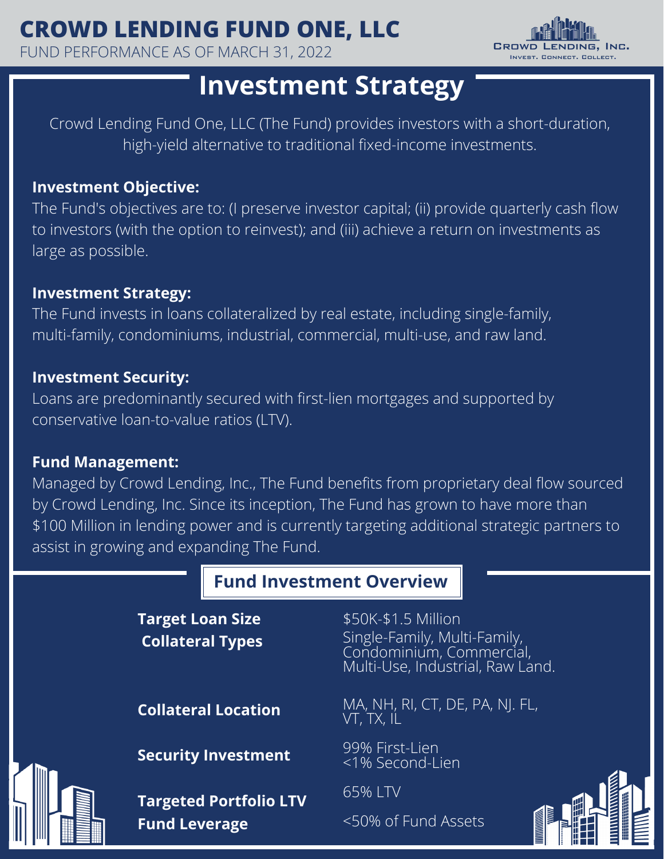## **CROWD LENDING FUND ONE, LLC**

FUND PERFORMANCE AS OF MARCH 31, 2022



## **Investment Strategy**

Crowd Lending Fund One, LLC (The Fund) provides investors with a short-duration, high-yield alternative to traditional fixed-income investments.

#### **Investment Objective:**

The Fund's objectives are to: (I preserve investor capital; (ii) provide quarterly cash flow to investors (with the option to reinvest); and (iii) achieve a return on investments as large as possible.

#### **Investment Strategy:**

The Fund invests in loans collateralized by real estate, including single-family, multi-family, condominiums, industrial, commercial, multi-use, and raw land.

#### **Investment Security:**

Loans are predominantly secured with first-lien mortgages and supported by conservative loan-to-value ratios (LTV).

#### **Fund Management:**

Managed by Crowd Lending, Inc., The Fund benefits from proprietary deal flow sourced by Crowd Lending, Inc. Since its inception, The Fund has grown to have more than \$100 Million in lending power and is currently targeting additional strategic partners to assist in growing and expanding The Fund.

### **Fund Investment Overview**

|  | <b>Target Loan Size</b><br><b>Collateral Types</b> | \$50K-\$1.5 Million<br>Single-Family, Multi-Family,<br>Condominium, Commercial,<br>Multi-Use, Industrial, Raw Land. |  |
|--|----------------------------------------------------|---------------------------------------------------------------------------------------------------------------------|--|
|  | <b>Collateral Location</b>                         | MA, NH, RI, CT, DE, PA, NJ. FL,<br>VT, TX, IL                                                                       |  |
|  | <b>Security Investment</b>                         | 99% First-Lien<br><1% Second-Lien                                                                                   |  |
|  | <b>Targeted Portfolio LTV</b>                      | 65% LTV                                                                                                             |  |
|  | <b>Fund Leverage</b>                               | <50% of Fund Assets                                                                                                 |  |